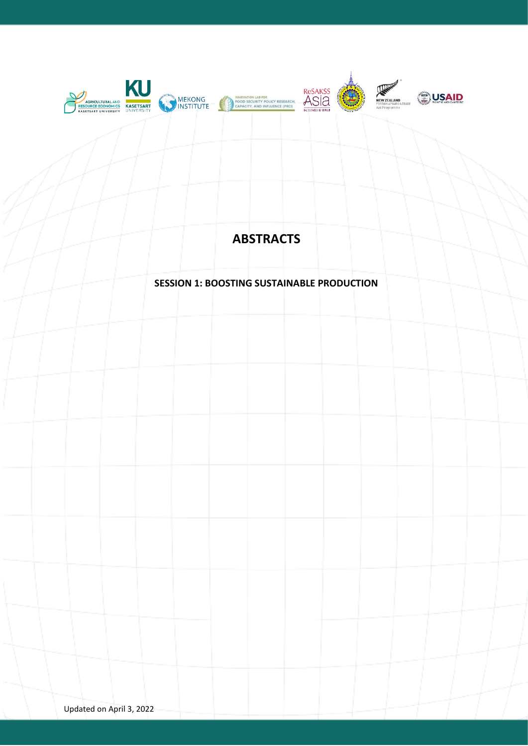

# **ABSTRACTS**

## **SESSION 1: BOOSTING SUSTAINABLE PRODUCTION**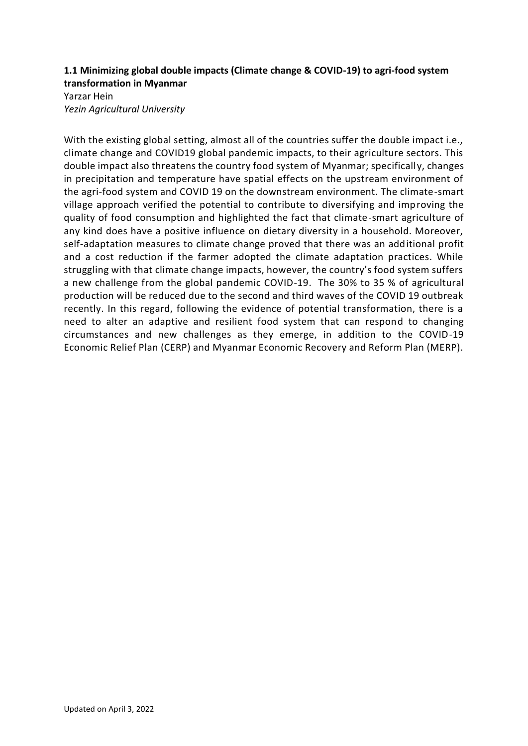## **1.1 Minimizing global double impacts (Climate change & COVID-19) to agri-food system transformation in Myanmar**

Yarzar Hein *Yezin Agricultural University*

With the existing global setting, almost all of the countries suffer the double impact i.e., climate change and COVID19 global pandemic impacts, to their agriculture sectors. This double impact also threatens the country food system of Myanmar; specifically, changes in precipitation and temperature have spatial effects on the upstream environment of the agri-food system and COVID 19 on the downstream environment. The climate-smart village approach verified the potential to contribute to diversifying and improving the quality of food consumption and highlighted the fact that climate-smart agriculture of any kind does have a positive influence on dietary diversity in a household. Moreover, self-adaptation measures to climate change proved that there was an additional profit and a cost reduction if the farmer adopted the climate adaptation practices. While struggling with that climate change impacts, however, the country's food system suffers a new challenge from the global pandemic COVID-19. The 30% to 35 % of agricultural production will be reduced due to the second and third waves of the COVID 19 outbreak recently. In this regard, following the evidence of potential transformation, there is a need to alter an adaptive and resilient food system that can respond to changing circumstances and new challenges as they emerge, in addition to the COVID-19 Economic Relief Plan (CERP) and Myanmar Economic Recovery and Reform Plan (MERP).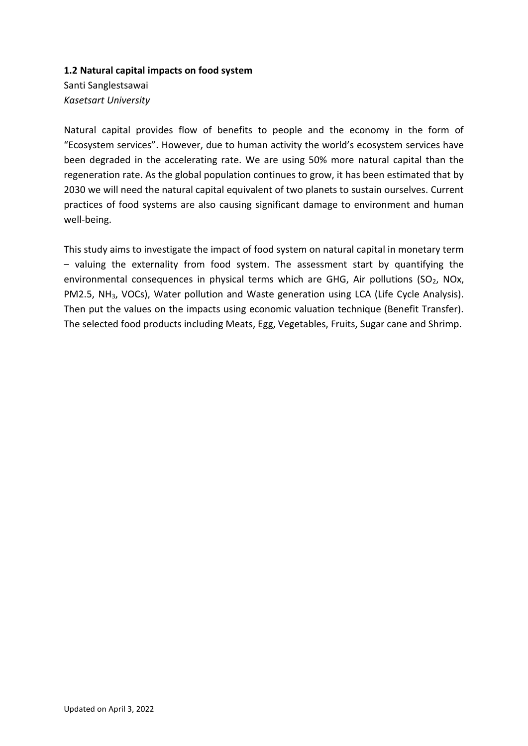### **1.2 Natural capital impacts on food system**

Santi Sanglestsawai *Kasetsart University*

Natural capital provides flow of benefits to people and the economy in the form of "Ecosystem services". However, due to human activity the world's ecosystem services have been degraded in the accelerating rate. We are using 50% more natural capital than the regeneration rate. As the global population continues to grow, it has been estimated that by 2030 we will need the natural capital equivalent of two planets to sustain ourselves. Current practices of food systems are also causing significant damage to environment and human well-being.

This study aims to investigate the impact of food system on natural capital in monetary term – valuing the externality from food system. The assessment start by quantifying the environmental consequences in physical terms which are GHG, Air pollutions (SO<sub>2</sub>, NOx, PM2.5, NH3, VOCs), Water pollution and Waste generation using LCA (Life Cycle Analysis). Then put the values on the impacts using economic valuation technique (Benefit Transfer). The selected food products including Meats, Egg, Vegetables, Fruits, Sugar cane and Shrimp.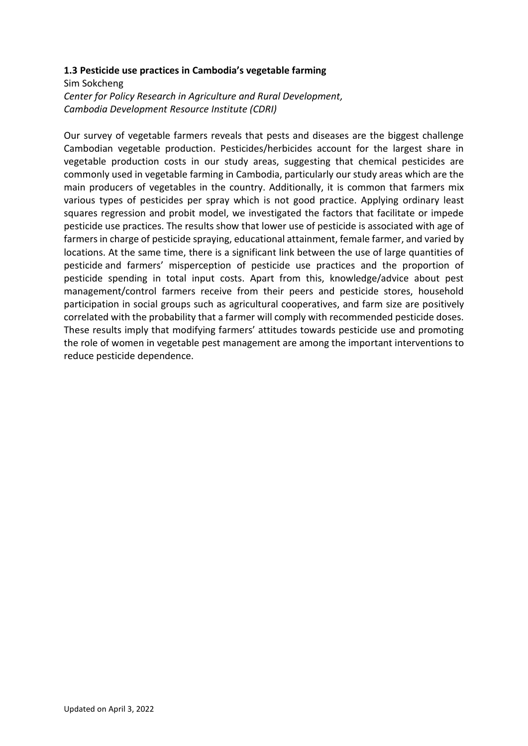### **1.3 Pesticide use practices in Cambodia's vegetable farming**

Sim Sokcheng *Center for Policy Research in Agriculture and Rural Development, Cambodia Development Resource Institute (CDRI)*

Our survey of vegetable farmers reveals that pests and diseases are the biggest challenge Cambodian vegetable production. Pesticides/herbicides account for the largest share in vegetable production costs in our study areas, suggesting that chemical pesticides are commonly used in vegetable farming in Cambodia, particularly our study areas which are the main producers of vegetables in the country. Additionally, it is common that farmers mix various types of pesticides per spray which is not good practice. Applying ordinary least squares regression and probit model, we investigated the factors that facilitate or impede pesticide use practices. The results show that lower use of pesticide is associated with age of farmers in charge of pesticide spraying, educational attainment, female farmer, and varied by locations. At the same time, there is a significant link between the use of large quantities of pesticide and farmers' misperception of pesticide use practices and the proportion of pesticide spending in total input costs. Apart from this, knowledge/advice about pest management/control farmers receive from their peers and pesticide stores, household participation in social groups such as agricultural cooperatives, and farm size are positively correlated with the probability that a farmer will comply with recommended pesticide doses. These results imply that modifying farmers' attitudes towards pesticide use and promoting the role of women in vegetable pest management are among the important interventions to reduce pesticide dependence.